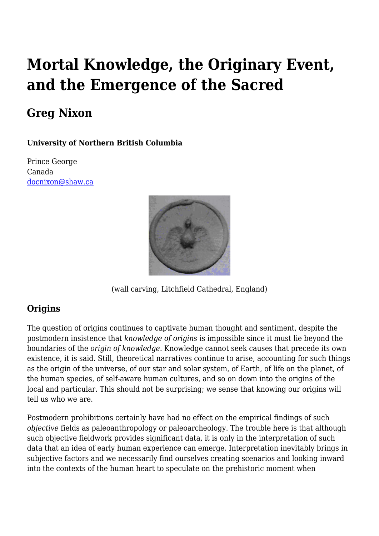# **Mortal Knowledge, the Originary Event, and the Emergence of the Sacred**

## **Greg Nixon**

#### **University of Northern British Columbia**

Prince George Canada [docnixon@shaw.ca](mailto:docnixon@shaw.ca)



(wall carving, Litchfield Cathedral, England)

## **Origins**

The question of origins continues to captivate human thought and sentiment, despite the postmodern insistence that *knowledge of origins* is impossible since it must lie beyond the boundaries of the *origin of knowledge*. Knowledge cannot seek causes that precede its own existence, it is said. Still, theoretical narratives continue to arise, accounting for such things as the origin of the universe, of our star and solar system, of Earth, of life on the planet, of the human species, of self-aware human cultures, and so on down into the origins of the local and particular. This should not be surprising; we sense that knowing our origins will tell us who we are.

Postmodern prohibitions certainly have had no effect on the empirical findings of such *objective* fields as paleoanthropology or paleoarcheology. The trouble here is that although such objective fieldwork provides significant data, it is only in the interpretation of such data that an idea of early human experience can emerge. Interpretation inevitably brings in subjective factors and we necessarily find ourselves creating scenarios and looking inward into the contexts of the human heart to speculate on the prehistoric moment when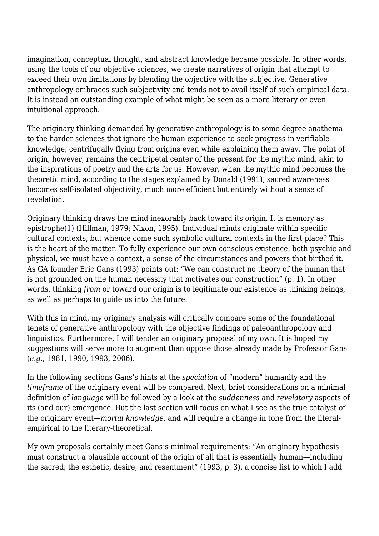imagination, conceptual thought, and abstract knowledge became possible. In other words, using the tools of our objective sciences, we create narratives of origin that attempt to exceed their own limitations by blending the objective with the subjective. Generative anthropology embraces such subjectivity and tends not to avail itself of such empirical data. It is instead an outstanding example of what might be seen as a more literary or even intuitional approach.

The originary thinking demanded by generative anthropology is to some degree anathema to the harder sciences that ignore the human experience to seek progress in verifiable knowledge, centrifugally flying from origins even while explaining them away. The point of origin, however, remains the centripetal center of the present for the mythic mind, akin to the inspirations of poetry and the arts for us. However, when the mythic mind becomes the theoretic mind, according to the stages explained by Donald (1991), sacred awareness becomes self-isolated objectivity, much more efficient but entirely without a sense of revelation.

Originary thinking draws the mind inexorably back toward its origin. It is memory as epistroph[e\(1\)](http://anthropoetics.ucla.edu/ap1201/mortalknowledge#n1) (Hillman, 1979; Nixon, 1995). Individual minds originate within specific cultural contexts, but whence come such symbolic cultural contexts in the first place? This is the heart of the matter. To fully experience our own conscious existence, both psychic and physical, we must have a context, a sense of the circumstances and powers that birthed it. As GA founder Eric Gans (1993) points out: "We can construct no theory of the human that is not grounded on the human necessity that motivates our construction" (p. 1). In other words, thinking *from* or toward our origin is to legitimate our existence as thinking beings, as well as perhaps to guide us into the future.

With this in mind, my originary analysis will critically compare some of the foundational tenets of generative anthropology with the objective findings of paleoanthropology and linguistics. Furthermore, I will tender an originary proposal of my own. It is hoped my suggestions will serve more to augment than oppose those already made by Professor Gans (*e.g.*, 1981, 1990, 1993, 2006).

In the following sections Gans's hints at the *speciation* of "modern" humanity and the *timeframe* of the originary event will be compared. Next, brief considerations on a minimal definition of *language* will be followed by a look at the *suddenness* and *revelatory* aspects of its (and our) emergence. But the last section will focus on what I see as the true catalyst of the originary event—*mortal knowledge*, and will require a change in tone from the literalempirical to the literary-theoretical.

My own proposals certainly meet Gans's minimal requirements: "An originary hypothesis must construct a plausible account of the origin of all that is essentially human—including the sacred, the esthetic, desire, and resentment" (1993, p. 3), a concise list to which I add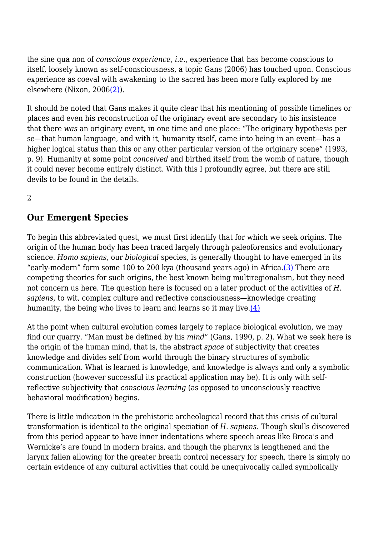the sine qua non of *conscious experience*, *i.e.*, experience that has become conscious to itself, loosely known as self-consciousness, a topic Gans (2006) has touched upon. Conscious experience as coeval with awakening to the sacred has been more fully explored by me elsewhere (Nixon, 2006[\(2\)](http://anthropoetics.ucla.edu/ap1201/mortalknowledge#n2)).

It should be noted that Gans makes it quite clear that his mentioning of possible timelines or places and even his reconstruction of the originary event are secondary to his insistence that there *was* an originary event, in one time and one place: "The originary hypothesis per se—that human language, and with it, humanity itself, came into being in an event—has a higher logical status than this or any other particular version of the originary scene" (1993, p. 9). Humanity at some point *conceived* and birthed itself from the womb of nature, though it could never become entirely distinct. With this I profoundly agree, but there are still devils to be found in the details.

2

## **Our Emergent Species**

To begin this abbreviated quest, we must first identify that for which we seek origins. The origin of the human body has been traced largely through paleoforensics and evolutionary science. *Homo sapiens*, our *biological* species, is generally thought to have emerged in its "early-modern" form some 100 to 200 kya (thousand years ago) in Africa. $(3)$  There are competing theories for such origins, the best known being multiregionalism, but they need not concern us here. The question here is focused on a later product of the activities of *H. sapiens*, to wit, complex culture and reflective consciousness—knowledge creating humanity, the being who lives to learn and learns so it may live. $(4)$ 

At the point when cultural evolution comes largely to replace biological evolution, we may find our quarry. "Man must be defined by his *mind*" (Gans, 1990, p. 2). What we seek here is the origin of the human mind, that is, the abstract *space* of subjectivity that creates knowledge and divides self from world through the binary structures of symbolic communication. What is learned is knowledge, and knowledge is always and only a symbolic construction (however successful its practical application may be). It is only with selfreflective subjectivity that *conscious learning* (as opposed to unconsciously reactive behavioral modification) begins.

There is little indication in the prehistoric archeological record that this crisis of cultural transformation is identical to the original speciation of *H. sapiens*. Though skulls discovered from this period appear to have inner indentations where speech areas like Broca's and Wernicke's are found in modern brains, and though the pharynx is lengthened and the larynx fallen allowing for the greater breath control necessary for speech, there is simply no certain evidence of any cultural activities that could be unequivocally called symbolically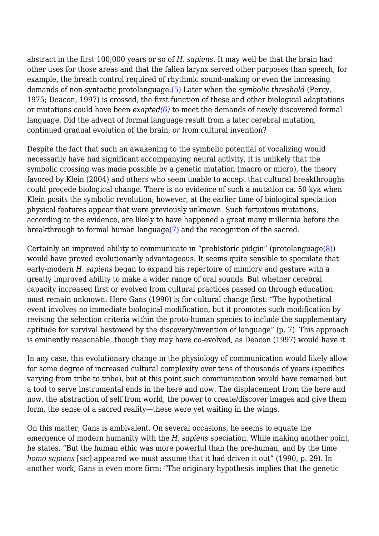abstract in the first 100,000 years or so of *H. sapiens*. It may well be that the brain had other uses for those areas and that the fallen larynx served other purposes than speech, for example, the breath control required of rhythmic sound-making or even the increasing demands of non-syntactic protolanguage[.\(5\)](http://anthropoetics.ucla.edu/ap1201/mortalknowledge#n5) Later when the *symbolic threshold* (Percy, 1975; Deacon, 1997) is crossed, the first function of these and other biological adaptations or mutations could have been *exapted[\(6\)](http://anthropoetics.ucla.edu/ap1201/mortalknowledge#n6)* to meet the demands of newly discovered formal language. Did the advent of formal language result from a later cerebral mutation, continued gradual evolution of the brain, *or* from cultural invention?

Despite the fact that such an awakening to the symbolic potential of vocalizing would necessarily have had significant accompanying neural activity, it is unlikely that the symbolic crossing was made possible by a genetic mutation (macro or micro), the theory favored by Klein (2004) and others who seem unable to accept that cultural breakthroughs could precede biological change. There is no evidence of such a mutation ca. 50 kya when Klein posits the symbolic revolution; however, at the earlier time of biological speciation physical features appear that were previously unknown. Such fortuitous mutations, according to the evidence, are likely to have happened a great many millennia before the breakthrough to formal human languag[e\(7\)](http://anthropoetics.ucla.edu/ap1201/mortalknowledge#n7) and the recognition of the sacred.

Certainly an improved ability to communicate in "prehistoric pidgin" (protolanguage $(8)$ ) would have proved evolutionarily advantageous. It seems quite sensible to speculate that early-modern *H. sapiens* began to expand his repertoire of mimicry and gesture with a greatly improved ability to make a wider range of oral sounds. But whether cerebral capacity increased first or evolved from cultural practices passed on through education must remain unknown. Here Gans (1990) is for cultural change first: "The hypothetical event involves no immediate biological modification, but it promotes such modification by revising the selection criteria within the proto-human species to include the supplementary aptitude for survival bestowed by the discovery/invention of language" (p. 7). This approach is eminently reasonable, though they may have co-evolved, as Deacon (1997) would have it.

In any case, this evolutionary change in the physiology of communication would likely allow for some degree of increased cultural complexity over tens of thousands of years (specifics varying from tribe to tribe), but at this point such communication would have remained but a tool to serve instrumental ends in the here and now. The displacement from the here and now, the abstraction of self from world, the power to create/discover images and give them form, the sense of a sacred reality—these were yet waiting in the wings.

On this matter, Gans is ambivalent. On several occasions, he seems to equate the emergence of modern humanity with the *H. sapiens* speciation. While making another point, he states, "But the human ethic was more powerful than the pre-human, and by the time *homo sapiens* [sic] appeared we must assume that it had driven it out" (1990, p. 29). In another work, Gans is even more firm: "The originary hypothesis implies that the genetic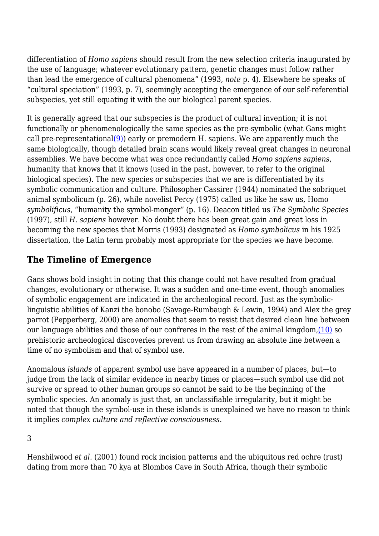differentiation of *Homo sapiens* should result from the new selection criteria inaugurated by the use of language; whatever evolutionary pattern, genetic changes must follow rather than lead the emergence of cultural phenomena" (1993, *note* p. 4). Elsewhere he speaks of "cultural speciation" (1993, p. 7), seemingly accepting the emergence of our self-referential subspecies, yet still equating it with the our biological parent species.

It is generally agreed that our subspecies is the product of cultural invention; it is not functionally or phenomenologically the same species as the pre-symbolic (what Gans might call pre-representationa[l\(9\)\)](http://anthropoetics.ucla.edu/ap1201/mortalknowledge#n9) early or premodern H. sapiens. We are apparently much the same biologically, though detailed brain scans would likely reveal great changes in neuronal assemblies. We have become what was once redundantly called *Homo sapiens sapiens*, humanity that knows that it knows (used in the past, however, to refer to the original biological species). The new species or subspecies that we are is differentiated by its symbolic communication and culture. Philosopher Cassirer (1944) nominated the sobriquet animal symbolicum (p. 26), while novelist Percy (1975) called us like he saw us, Homo *symbolificus*, "humanity the symbol-monger" (p. 16). Deacon titled us *The Symbolic Species* (1997), still *H. sapiens* however. No doubt there has been great gain and great loss in becoming the new species that Morris (1993) designated as *Homo symbolicus* in his 1925 dissertation, the Latin term probably most appropriate for the species we have become.

## **The Timeline of Emergence**

Gans shows bold insight in noting that this change could not have resulted from gradual changes, evolutionary or otherwise. It was a sudden and one-time event, though anomalies of symbolic engagement are indicated in the archeological record. Just as the symboliclinguistic abilities of Kanzi the bonobo (Savage-Rumbaugh & Lewin, 1994) and Alex the grey parrot (Pepperberg, 2000) are anomalies that seem to resist that desired clean line between our language abilities and those of our confreres in the rest of the animal kingdom, $(10)$  so prehistoric archeological discoveries prevent us from drawing an absolute line between a time of no symbolism and that of symbol use.

Anomalous *islands* of apparent symbol use have appeared in a number of places, but—to judge from the lack of similar evidence in nearby times or places—such symbol use did not survive or spread to other human groups so cannot be said to be the beginning of the symbolic species. An anomaly is just that, an unclassifiable irregularity, but it might be noted that though the symbol-use in these islands is unexplained we have no reason to think it implies *complex culture and reflective consciousness*.

3

Henshilwood *et al*. (2001) found rock incision patterns and the ubiquitous red ochre (rust) dating from more than 70 kya at Blombos Cave in South Africa, though their symbolic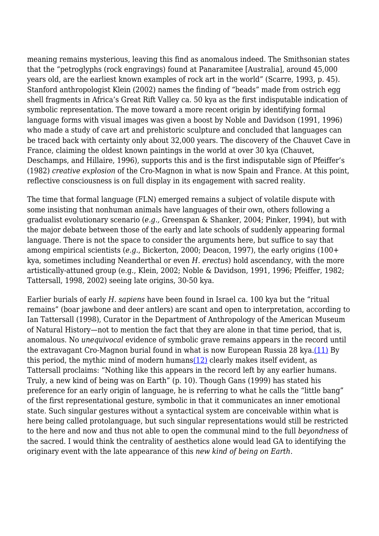meaning remains mysterious, leaving this find as anomalous indeed. The Smithsonian states that the "petroglyphs (rock engravings) found at Panaramitee [Australia], around 45,000 years old, are the earliest known examples of rock art in the world" (Scarre, 1993, p. 45). Stanford anthropologist Klein (2002) names the finding of "beads" made from ostrich egg shell fragments in Africa's Great Rift Valley ca. 50 kya as the first indisputable indication of symbolic representation. The move toward a more recent origin by identifying formal language forms with visual images was given a boost by Noble and Davidson (1991, 1996) who made a study of cave art and prehistoric sculpture and concluded that languages can be traced back with certainty only about 32,000 years. The discovery of the Chauvet Cave in France, claiming the oldest known paintings in the world at over 30 kya (Chauvet, Deschamps, and Hillaire, 1996), supports this and is the first indisputable sign of Pfeiffer's (1982) *creative explosion* of the Cro-Magnon in what is now Spain and France. At this point, reflective consciousness is on full display in its engagement with sacred reality.

The time that formal language (FLN) emerged remains a subject of volatile dispute with some insisting that nonhuman animals have languages of their own, others following a gradualist evolutionary scenario (*e.g.,* Greenspan & Shanker, 2004; Pinker, 1994), but with the major debate between those of the early and late schools of suddenly appearing formal language. There is not the space to consider the arguments here, but suffice to say that among empirical scientists (*e.g.*, Bickerton, 2000; Deacon, 1997), the early origins (100+ kya, sometimes including Neanderthal or even *H. erectus*) hold ascendancy, with the more artistically-attuned group (e.g., Klein, 2002; Noble & Davidson, 1991, 1996; Pfeiffer, 1982; Tattersall, 1998, 2002) seeing late origins, 30-50 kya.

Earlier burials of early *H. sapiens* have been found in Israel ca. 100 kya but the "ritual remains" (boar jawbone and deer antlers) are scant and open to interpretation, according to Ian Tattersall (1998), Curator in the Department of Anthropology of the American Museum of Natural History—not to mention the fact that they are alone in that time period, that is, anomalous. No *unequivocal* evidence of symbolic grave remains appears in the record until the extravagant Cro-Magnon burial found in what is now European Russia 28 kya.[\(11\)](http://anthropoetics.ucla.edu/ap1201/mortalknowledge#n11) By this period, the mythic mind of modern humans $(12)$  clearly makes itself evident, as Tattersall proclaims: "Nothing like this appears in the record left by any earlier humans. Truly, a new kind of being was on Earth" (p. 10). Though Gans (1999) has stated his preference for an early origin of language, he is referring to what he calls the "little bang" of the first representational gesture, symbolic in that it communicates an inner emotional state. Such singular gestures without a syntactical system are conceivable within what is here being called protolanguage, but such singular representations would still be restricted to the here and now and thus not able to open the communal mind to the full *beyondness* of the sacred. I would think the centrality of aesthetics alone would lead GA to identifying the originary event with the late appearance of this *new kind of being on Earth*.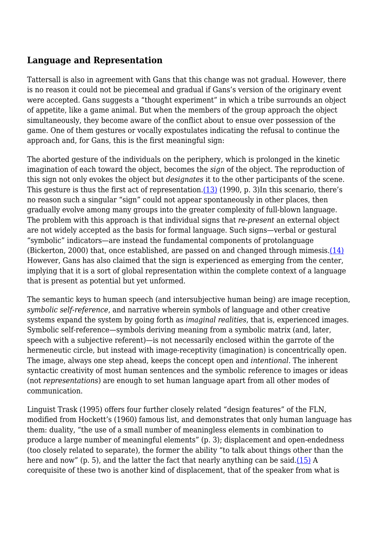### **Language and Representation**

Tattersall is also in agreement with Gans that this change was not gradual. However, there is no reason it could not be piecemeal and gradual if Gans's version of the originary event were accepted. Gans suggests a "thought experiment" in which a tribe surrounds an object of appetite, like a game animal. But when the members of the group approach the object simultaneously, they become aware of the conflict about to ensue over possession of the game. One of them gestures or vocally expostulates indicating the refusal to continue the approach and, for Gans, this is the first meaningful sign:

The aborted gesture of the individuals on the periphery, which is prolonged in the kinetic imagination of each toward the object, becomes the *sign* of the object. The reproduction of this sign not only evokes the object but *designates* it to the other participants of the scene. This gesture is thus the first act of representation. $(13)$  (1990, p. 3)In this scenario, there's no reason such a singular "sign" could not appear spontaneously in other places, then gradually evolve among many groups into the greater complexity of full-blown language. The problem with this approach is that individual signs that *re-present* an external object are not widely accepted as the basis for formal language. Such signs—verbal or gestural "symbolic" indicators—are instead the fundamental components of protolanguage (Bickerton, 2000) that, once established, are passed on and changed through mimesis. $(14)$ However, Gans has also claimed that the sign is experienced as emerging from the center, implying that it is a sort of global representation within the complete context of a language that is present as potential but yet unformed.

The semantic keys to human speech (and intersubjective human being) are image reception, *symbolic self-reference*, and narrative wherein symbols of language and other creative systems expand the system by going forth as *imaginal realities*, that is, experienced images. Symbolic self-reference—symbols deriving meaning from a symbolic matrix (and, later, speech with a subjective referent)—is not necessarily enclosed within the garrote of the hermeneutic circle, but instead with image-receptivity (imagination) is concentrically open. The image, always one step ahead, keeps the concept open and *intentional*. The inherent syntactic creativity of most human sentences and the symbolic reference to images or ideas (not *representations*) are enough to set human language apart from all other modes of communication.

Linguist Trask (1995) offers four further closely related "design features" of the FLN, modified from Hockett's (1960) famous list, and demonstrates that only human language has them: duality, "the use of a small number of meaningless elements in combination to produce a large number of meaningful elements" (p. 3); displacement and open-endedness (too closely related to separate), the former the ability "to talk about things other than the here and now" (p. 5), and the latter the fact that nearly anything can be said[.\(15\)](http://anthropoetics.ucla.edu/ap1201/mortalknowledge#n15) A corequisite of these two is another kind of displacement, that of the speaker from what is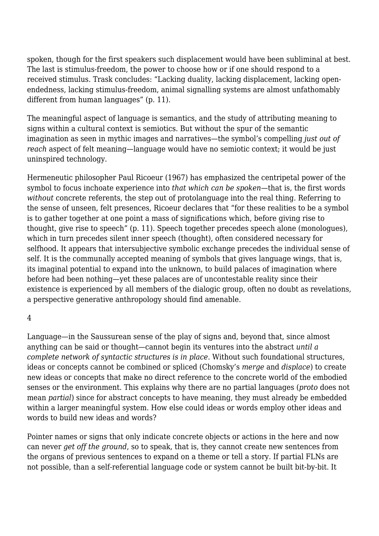spoken, though for the first speakers such displacement would have been subliminal at best. The last is stimulus-freedom, the power to choose how or if one should respond to a received stimulus. Trask concludes: "Lacking duality, lacking displacement, lacking openendedness, lacking stimulus-freedom, animal signalling systems are almost unfathomably different from human languages" (p. 11).

The meaningful aspect of language is semantics, and the study of attributing meaning to signs within a cultural context is semiotics. But without the spur of the semantic imagination as seen in mythic images and narratives—the symbol's compelling *just out of reach* aspect of felt meaning—language would have no semiotic context; it would be just uninspired technology.

Hermeneutic philosopher Paul Ricoeur (1967) has emphasized the centripetal power of the symbol to focus inchoate experience into *that which can be spoken*—that is, the first words *without* concrete referents, the step out of protolanguage into the real thing. Referring to the sense of unseen, felt presences, Ricoeur declares that "for these realities to be a symbol is to gather together at one point a mass of significations which, before giving rise to thought, give rise to speech" (p. 11). Speech together precedes speech alone (monologues), which in turn precedes silent inner speech (thought), often considered necessary for selfhood. It appears that intersubjective symbolic exchange precedes the individual sense of self. It is the communally accepted meaning of symbols that gives language wings, that is, its imaginal potential to expand into the unknown, to build palaces of imagination where before had been nothing—yet these palaces are of uncontestable reality since their existence is experienced by all members of the dialogic group, often no doubt as revelations, a perspective generative anthropology should find amenable.

#### 4

Language—in the Saussurean sense of the play of signs and, beyond that, since almost anything can be said or thought—cannot begin its ventures into the abstract *until a complete network of syntactic structures is in place*. Without such foundational structures, ideas or concepts cannot be combined or spliced (Chomsky's *merge* and *displace*) to create new ideas or concepts that make no direct reference to the concrete world of the embodied senses or the environment. This explains why there are no partial languages (*proto* does not mean *partial*) since for abstract concepts to have meaning, they must already be embedded within a larger meaningful system. How else could ideas or words employ other ideas and words to build new ideas and words?

Pointer names or signs that only indicate concrete objects or actions in the here and now can never *get off the ground*, so to speak, that is, they cannot create new sentences from the organs of previous sentences to expand on a theme or tell a story. If partial FLNs are not possible, than a self-referential language code or system cannot be built bit-by-bit. It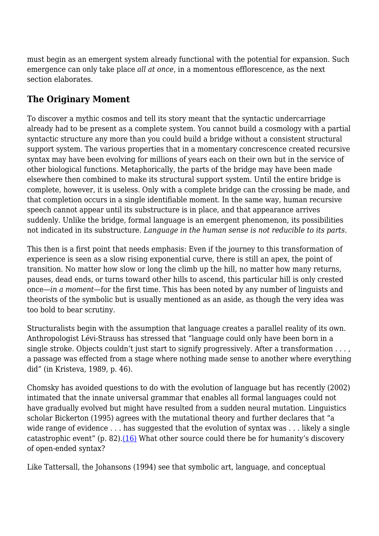must begin as an emergent system already functional with the potential for expansion. Such emergence can only take place *all at once*, in a momentous efflorescence, as the next section elaborates.

## **The Originary Moment**

To discover a mythic cosmos and tell its story meant that the syntactic undercarriage already had to be present as a complete system. You cannot build a cosmology with a partial syntactic structure any more than you could build a bridge without a consistent structural support system. The various properties that in a momentary concrescence created recursive syntax may have been evolving for millions of years each on their own but in the service of other biological functions. Metaphorically, the parts of the bridge may have been made elsewhere then combined to make its structural support system. Until the entire bridge is complete, however, it is useless. Only with a complete bridge can the crossing be made, and that completion occurs in a single identifiable moment. In the same way, human recursive speech cannot appear until its substructure is in place, and that appearance arrives suddenly. Unlike the bridge, formal language is an emergent phenomenon, its possibilities not indicated in its substructure. *Language in the human sense is not reducible to its parts*.

This then is a first point that needs emphasis: Even if the journey to this transformation of experience is seen as a slow rising exponential curve, there is still an apex, the point of transition. No matter how slow or long the climb up the hill, no matter how many returns, pauses, dead ends, or turns toward other hills to ascend, this particular hill is only crested once—*in a moment*—for the first time. This has been noted by any number of linguists and theorists of the symbolic but is usually mentioned as an aside, as though the very idea was too bold to bear scrutiny.

Structuralists begin with the assumption that language creates a parallel reality of its own. Anthropologist Lévi-Strauss has stressed that "language could only have been born in a single stroke. Objects couldn't just start to signify progressively. After a transformation . . . , a passage was effected from a stage where nothing made sense to another where everything did" (in Kristeva, 1989, p. 46).

Chomsky has avoided questions to do with the evolution of language but has recently (2002) intimated that the innate universal grammar that enables all formal languages could not have gradually evolved but might have resulted from a sudden neural mutation. Linguistics scholar Bickerton (1995) agrees with the mutational theory and further declares that "a wide range of evidence . . . has suggested that the evolution of syntax was . . . likely a single catastrophic event" (p. 82). $(16)$  What other source could there be for humanity's discovery of open-ended syntax?

Like Tattersall, the Johansons (1994) see that symbolic art, language, and conceptual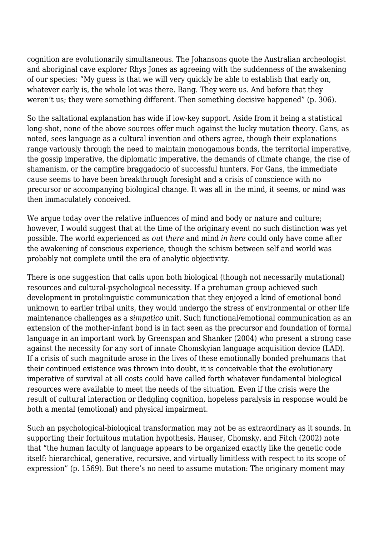cognition are evolutionarily simultaneous. The Johansons quote the Australian archeologist and aboriginal cave explorer Rhys Jones as agreeing with the suddenness of the awakening of our species: "My guess is that we will very quickly be able to establish that early on, whatever early is, the whole lot was there. Bang. They were us. And before that they weren't us; they were something different. Then something decisive happened" (p. 306).

So the saltational explanation has wide if low-key support. Aside from it being a statistical long-shot, none of the above sources offer much against the lucky mutation theory. Gans, as noted, sees language as a cultural invention and others agree, though their explanations range variously through the need to maintain monogamous bonds, the territorial imperative, the gossip imperative, the diplomatic imperative, the demands of climate change, the rise of shamanism, or the campfire braggadocio of successful hunters. For Gans, the immediate cause seems to have been breakthrough foresight and a crisis of conscience with no precursor or accompanying biological change. It was all in the mind, it seems, or mind was then immaculately conceived.

We argue today over the relative influences of mind and body or nature and culture; however, I would suggest that at the time of the originary event no such distinction was yet possible. The world experienced as *out there* and mind *in here* could only have come after the awakening of conscious experience, though the schism between self and world was probably not complete until the era of analytic objectivity.

There is one suggestion that calls upon both biological (though not necessarily mutational) resources and cultural-psychological necessity. If a prehuman group achieved such development in protolinguistic communication that they enjoyed a kind of emotional bond unknown to earlier tribal units, they would undergo the stress of environmental or other life maintenance challenges as a *simpatico* unit. Such functional/emotional communication as an extension of the mother-infant bond is in fact seen as the precursor and foundation of formal language in an important work by Greenspan and Shanker (2004) who present a strong case against the necessity for any sort of innate Chomskyian language acquisition device (LAD). If a crisis of such magnitude arose in the lives of these emotionally bonded prehumans that their continued existence was thrown into doubt, it is conceivable that the evolutionary imperative of survival at all costs could have called forth whatever fundamental biological resources were available to meet the needs of the situation. Even if the crisis were the result of cultural interaction or fledgling cognition, hopeless paralysis in response would be both a mental (emotional) and physical impairment.

Such an psychological-biological transformation may not be as extraordinary as it sounds. In supporting their fortuitous mutation hypothesis, Hauser, Chomsky, and Fitch (2002) note that "the human faculty of language appears to be organized exactly like the genetic code itself: hierarchical, generative, recursive, and virtually limitless with respect to its scope of expression" (p. 1569). But there's no need to assume mutation: The originary moment may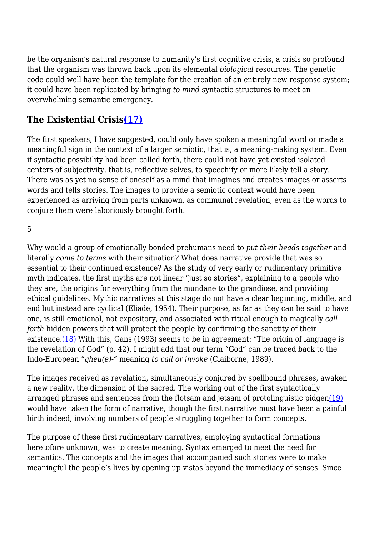be the organism's natural response to humanity's first cognitive crisis, a crisis so profound that the organism was thrown back upon its elemental *biological* resources. The genetic code could well have been the template for the creation of an entirely new response system; it could have been replicated by bringing *to mind* syntactic structures to meet an overwhelming semantic emergency.

## **The Existential Crisis[\(17\)](http://anthropoetics.ucla.edu/ap1201/mortalknowledge#n17)**

The first speakers, I have suggested, could only have spoken a meaningful word or made a meaningful sign in the context of a larger semiotic, that is, a meaning-making system. Even if syntactic possibility had been called forth, there could not have yet existed isolated centers of subjectivity, that is, reflective selves, to speechify or more likely tell a story. There was as yet no sense of oneself as a mind that imagines and creates images or asserts words and tells stories. The images to provide a semiotic context would have been experienced as arriving from parts unknown, as communal revelation, even as the words to conjure them were laboriously brought forth.

5

Why would a group of emotionally bonded prehumans need to *put their heads together* and literally *come to terms* with their situation? What does narrative provide that was so essential to their continued existence? As the study of very early or rudimentary primitive myth indicates, the first myths are not linear "just so stories", explaining to a people who they are, the origins for everything from the mundane to the grandiose, and providing ethical guidelines. Mythic narratives at this stage do not have a clear beginning, middle, and end but instead are cyclical (Eliade, 1954). Their purpose, as far as they can be said to have one, is still emotional, not expository, and associated with ritual enough to magically *call forth* hidden powers that will protect the people by confirming the sanctity of their existence.[\(18\)](http://anthropoetics.ucla.edu/ap1201/mortalknowledge#n18) With this, Gans (1993) seems to be in agreement: "The origin of language is the revelation of God" (p. 42). I might add that our term "God" can be traced back to the Indo-European *"gheu(e)-"* meaning *to call or invoke* (Claiborne, 1989).

The images received as revelation, simultaneously conjured by spellbound phrases, awaken a new reality, the dimension of the sacred. The working out of the first syntactically arranged phrases and sentences from the flotsam and jetsam of protolinguistic pidgen[\(19\)](http://anthropoetics.ucla.edu/ap1201/mortalknowledge#n19) would have taken the form of narrative, though the first narrative must have been a painful birth indeed, involving numbers of people struggling together to form concepts.

The purpose of these first rudimentary narratives, employing syntactical formations heretofore unknown, was to create meaning. Syntax emerged to meet the need for semantics. The concepts and the images that accompanied such stories were to make meaningful the people's lives by opening up vistas beyond the immediacy of senses. Since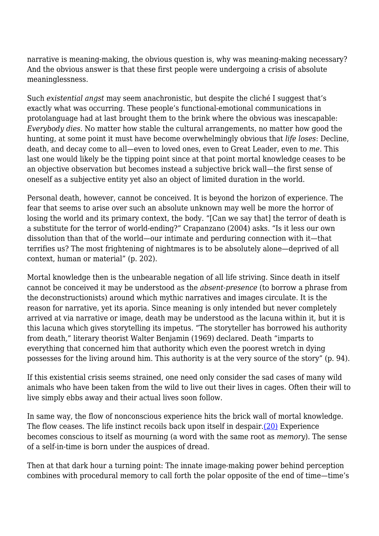narrative is meaning-making, the obvious question is, why was meaning-making necessary? And the obvious answer is that these first people were undergoing a crisis of absolute meaninglessness.

Such *existential angst* may seem anachronistic, but despite the cliché I suggest that's exactly what was occurring. These people's functional-emotional communications in protolanguage had at last brought them to the brink where the obvious was inescapable: *Everybody dies*. No matter how stable the cultural arrangements, no matter how good the hunting, at some point it must have become overwhelmingly obvious that *life loses*: Decline, death, and decay come to all—even to loved ones, even to Great Leader, even to *me*. This last one would likely be the tipping point since at that point mortal knowledge ceases to be an objective observation but becomes instead a subjective brick wall—the first sense of oneself as a subjective entity yet also an object of limited duration in the world.

Personal death, however, cannot be conceived. It is beyond the horizon of experience. The fear that seems to arise over such an absolute unknown may well be more the horror of losing the world and its primary context, the body. "[Can we say that] the terror of death is a substitute for the terror of world-ending?" Crapanzano (2004) asks. "Is it less our own dissolution than that of the world—our intimate and perduring connection with it—that terrifies us? The most frightening of nightmares is to be absolutely alone—deprived of all context, human or material" (p. 202).

Mortal knowledge then is the unbearable negation of all life striving. Since death in itself cannot be conceived it may be understood as the *absent-presence* (to borrow a phrase from the deconstructionists) around which mythic narratives and images circulate. It is the reason for narrative, yet its aporia. Since meaning is only intended but never completely arrived at via narrative or image, death may be understood as the lacuna within it, but it is this lacuna which gives storytelling its impetus. "The storyteller has borrowed his authority from death," literary theorist Walter Benjamin (1969) declared. Death "imparts to everything that concerned him that authority which even the poorest wretch in dying possesses for the living around him. This authority is at the very source of the story" (p. 94).

If this existential crisis seems strained, one need only consider the sad cases of many wild animals who have been taken from the wild to live out their lives in cages. Often their will to live simply ebbs away and their actual lives soon follow.

In same way, the flow of nonconscious experience hits the brick wall of mortal knowledge. The flow ceases. The life instinct recoils back upon itself in despair[.\(20\)](http://anthropoetics.ucla.edu/ap1201/mortalknowledge#n20) Experience becomes conscious to itself as mourning (a word with the same root as *memory*). The sense of a self-in-time is born under the auspices of dread.

Then at that dark hour a turning point: The innate image-making power behind perception combines with procedural memory to call forth the polar opposite of the end of time—time's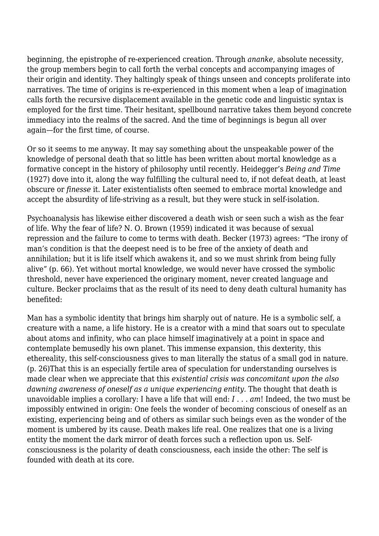beginning, the epistrophe of re-experienced creation. Through *ananke*, absolute necessity, the group members begin to call forth the verbal concepts and accompanying images of their origin and identity. They haltingly speak of things unseen and concepts proliferate into narratives. The time of origins is re-experienced in this moment when a leap of imagination calls forth the recursive displacement available in the genetic code and linguistic syntax is employed for the first time. Their hesitant, spellbound narrative takes them beyond concrete immediacy into the realms of the sacred. And the time of beginnings is begun all over again—for the first time, of course.

Or so it seems to me anyway. It may say something about the unspeakable power of the knowledge of personal death that so little has been written about mortal knowledge as a formative concept in the history of philosophy until recently. Heidegger's *Being and Time* (1927) dove into it, along the way fulfilling the cultural need to, if not defeat death, at least obscure or *finesse* it. Later existentialists often seemed to embrace mortal knowledge and accept the absurdity of life-striving as a result, but they were stuck in self-isolation.

Psychoanalysis has likewise either discovered a death wish or seen such a wish as the fear of life. Why the fear of life? N. O. Brown (1959) indicated it was because of sexual repression and the failure to come to terms with death. Becker (1973) agrees: "The irony of man's condition is that the deepest need is to be free of the anxiety of death and annihilation; but it is life itself which awakens it, and so we must shrink from being fully alive" (p. 66). Yet without mortal knowledge, we would never have crossed the symbolic threshold, never have experienced the originary moment, never created language and culture. Becker proclaims that as the result of its need to deny death cultural humanity has benefited:

Man has a symbolic identity that brings him sharply out of nature. He is a symbolic self, a creature with a name, a life history. He is a creator with a mind that soars out to speculate about atoms and infinity, who can place himself imaginatively at a point in space and contemplate bemusedly his own planet. This immense expansion, this dexterity, this ethereality, this self-consciousness gives to man literally the status of a small god in nature. (p. 26)That this is an especially fertile area of speculation for understanding ourselves is made clear when we appreciate that this *existential crisis was concomitant upon the also dawning awareness of oneself as a unique experiencing entity*. The thought that death is unavoidable implies a corollary: I have a life that will end: *I . . . am*! Indeed, the two must be impossibly entwined in origin: One feels the wonder of becoming conscious of oneself as an existing, experiencing being and of others as similar such beings even as the wonder of the moment is umbered by its cause. Death makes life real. One realizes that one is a living entity the moment the dark mirror of death forces such a reflection upon us. Selfconsciousness is the polarity of death consciousness, each inside the other: The self is founded with death at its core.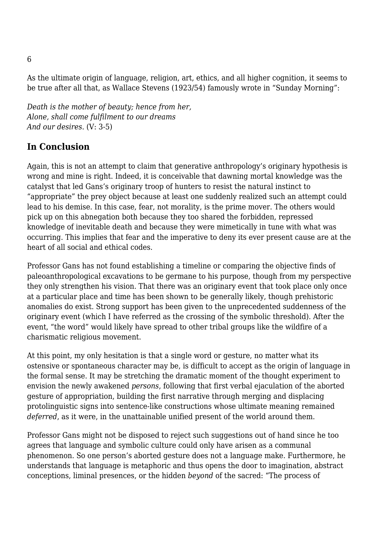As the ultimate origin of language, religion, art, ethics, and all higher cognition, it seems to be true after all that, as Wallace Stevens (1923/54) famously wrote in "Sunday Morning":

*Death is the mother of beauty; hence from her, Alone, shall come fulfilment to our dreams And our desires*. (V: 3-5)

## **In Conclusion**

Again, this is not an attempt to claim that generative anthropology's originary hypothesis is wrong and mine is right. Indeed, it is conceivable that dawning mortal knowledge was the catalyst that led Gans's originary troop of hunters to resist the natural instinct to "appropriate" the prey object because at least one suddenly realized such an attempt could lead to his demise. In this case, fear, not morality, is the prime mover. The others would pick up on this abnegation both because they too shared the forbidden, repressed knowledge of inevitable death and because they were mimetically in tune with what was occurring. This implies that fear and the imperative to deny its ever present cause are at the heart of all social and ethical codes.

Professor Gans has not found establishing a timeline or comparing the objective finds of paleoanthropological excavations to be germane to his purpose, though from my perspective they only strengthen his vision. That there was an originary event that took place only once at a particular place and time has been shown to be generally likely, though prehistoric anomalies do exist. Strong support has been given to the unprecedented suddenness of the originary event (which I have referred as the crossing of the symbolic threshold). After the event, "the word" would likely have spread to other tribal groups like the wildfire of a charismatic religious movement.

At this point, my only hesitation is that a single word or gesture, no matter what its ostensive or spontaneous character may be, is difficult to accept as the origin of language in the formal sense. It may be stretching the dramatic moment of the thought experiment to envision the newly awakened *persons*, following that first verbal ejaculation of the aborted gesture of appropriation, building the first narrative through merging and displacing protolinguistic signs into sentence-like constructions whose ultimate meaning remained *deferred*, as it were, in the unattainable unified present of the world around them.

Professor Gans might not be disposed to reject such suggestions out of hand since he too agrees that language and symbolic culture could only have arisen as a communal phenomenon. So one person's aborted gesture does not a language make. Furthermore, he understands that language is metaphoric and thus opens the door to imagination, abstract conceptions, liminal presences, or the hidden *beyond* of the sacred: "The process of

6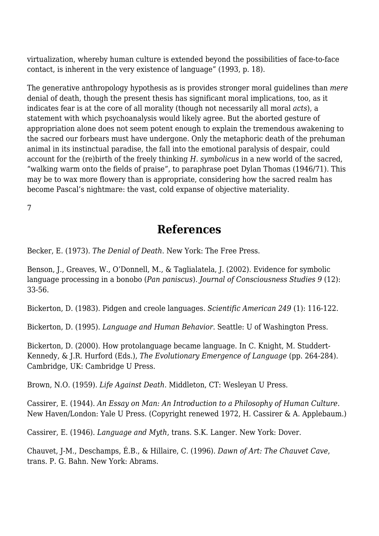virtualization, whereby human culture is extended beyond the possibilities of face-to-face contact, is inherent in the very existence of language" (1993, p. 18).

The generative anthropology hypothesis as is provides stronger moral guidelines than *mere* denial of death, though the present thesis has significant moral implications, too, as it indicates fear is at the core of all morality (though not necessarily all moral *acts*), a statement with which psychoanalysis would likely agree. But the aborted gesture of appropriation alone does not seem potent enough to explain the tremendous awakening to the sacred our forbears must have undergone. Only the metaphoric death of the prehuman animal in its instinctual paradise, the fall into the emotional paralysis of despair, could account for the (re)birth of the freely thinking *H. symbolicus* in a new world of the sacred, "walking warm onto the fields of praise", to paraphrase poet Dylan Thomas (1946/71). This may be to wax more flowery than is appropriate, considering how the sacred realm has become Pascal's nightmare: the vast, cold expanse of objective materiality.

7

## **References**

Becker, E. (1973). *The Denial of Death*. New York: The Free Press.

Benson, J., Greaves, W., O'Donnell, M., & Taglialatela, J. (2002). Evidence for symbolic language processing in a bonobo (*Pan paniscus*). *Journal of Consciousness Studies 9* (12): 33-56.

Bickerton, D. (1983). Pidgen and creole languages. *Scientific American 249* (1): 116-122.

Bickerton, D. (1995). *Language and Human Behavior*. Seattle: U of Washington Press.

Bickerton, D. (2000). How protolanguage became language. In C. Knight, M. Studdert-Kennedy, & J.R. Hurford (Eds.), *The Evolutionary Emergence of Language* (pp. 264-284). Cambridge, UK: Cambridge U Press.

Brown, N.O. (1959). *Life Against Death*. Middleton, CT: Wesleyan U Press.

Cassirer, E. (1944). *An Essay on Man: An Introduction to a Philosophy of Human Culture*. New Haven/London: Yale U Press. (Copyright renewed 1972, H. Cassirer & A. Applebaum.)

Cassirer, E. (1946). *Language and Myth*, trans. S.K. Langer. New York: Dover.

Chauvet, J-M., Deschamps, É.B., & Hillaire, C. (1996). *Dawn of Art: The Chauvet Cave*, trans. P. G. Bahn. New York: Abrams.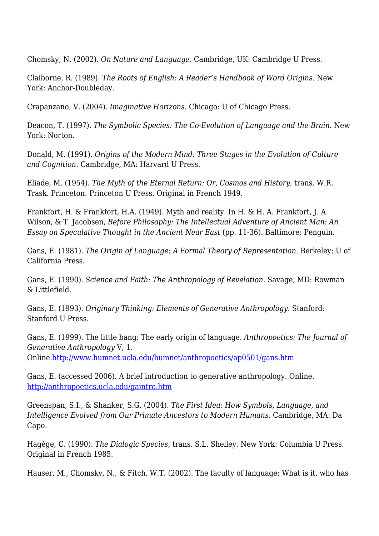Chomsky, N. (2002). *On Nature and Language*. Cambridge, UK: Cambridge U Press.

Claiborne, R. (1989). *The Roots of English: A Reader's Handbook of Word Origins.* New York: Anchor-Doubleday.

Crapanzano, V. (2004). *Imaginative Horizons*. Chicago: U of Chicago Press.

Deacon, T. (1997). *The Symbolic Species: The Co-Evolution of Language and the Brain*. New York: Norton.

Donald, M. (1991). *Origins of the Modern Mind: Three Stages in the Evolution of Culture and Cognition*. Cambridge, MA: Harvard U Press.

Eliade, M. (1954). *The Myth of the Eternal Return: Or, Cosmos and History*, trans. W.R. Trask. Princeton: Princeton U Press. Original in French 1949.

Frankfort, H. & Frankfort, H.A. (1949). Myth and reality. In H. & H. A. Frankfort, J. A. Wilson, & T. Jacobsen, *Before Philosophy: The Intellectual Adventure of Ancient Man: An Essay on Speculative Thought in the Ancient Near East* (pp. 11-36). Baltimore: Penguin.

Gans, E. (1981). *The Origin of Language: A Formal Theory of Representation*. Berkeley: U of California Press.

Gans, E. (1990). *Science and Faith: The Anthropology of Revelation*. Savage, MD: Rowman & Littlefield.

Gans, E. (1993). *Originary Thinking: Elements of Generative Anthropology*. Stanford: Stanford U Press.

Gans, E. (1999). The little bang: The early origin of language. *Anthropoetics: The Journal of Generative Anthropology* V, 1.

Online[.http://www.humnet.ucla.edu/humnet/anthropoetics/ap0501/gans.htm](http://www.humnet.ucla.edu/humnet/anthropoetics/ap0501/gans.htm)

Gans, E. (accessed 2006). A brief introduction to generative anthropology. Online. <http://anthropoetics.ucla.edu/gaintro.htm>

Greenspan, S.I., & Shanker, S.G. (2004). *The First Idea: How Symbols, Language, and Intelligence Evolved from Our Primate Ancestors to Modern Humans*. Cambridge, MA: Da Capo.

Hagège, C. (1990). *The Dialogic Species*, trans. S.L. Shelley. New York: Columbia U Press. Original in French 1985.

Hauser, M., Chomsky, N., & Fitch, W.T. (2002). The faculty of language: What is it, who has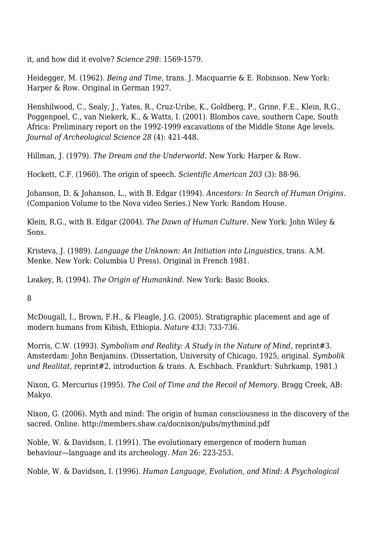it, and how did it evolve? *Science 298*: 1569-1579.

Heidegger, M. (1962). *Being and Time*, trans. J. Macquarrie & E. Robinson. New York: Harper & Row. Original in German 1927.

Henshilwood, C., Sealy, J., Yates, R., Cruz-Uribe, K., Goldberg, P., Grine, F.E., Klein, R.G., Poggenpoel, C., van Niekerk, K., & Watts, I. (2001). Blombos cave, southern Cape, South Africa: Preliminary report on the 1992-1999 excavations of the Middle Stone Age levels. *Journal of Archeological Science 28* (4): 421-448.

Hillman, J. (1979). *The Dream and the Underworld*. New York: Harper & Row.

Hockett, C.F. (1960). The origin of speech. *Scientific American 203* (3): 88-96.

Johanson, D. & Johanson, L., with B. Edgar (1994). *Ancestors: In Search of Human Origins*. (Companion Volume to the Nova video Series.) New York: Random House.

Klein, R.G., with B. Edgar (2004). *The Dawn of Human Culture*. New York: John Wiley & Sons.

Kristeva, J. (1989). *Language the Unknown: An Initiation into Linguistics*, trans. A.M. Menke. New York: Columbia U Press). Original in French 1981.

Leakey, R. (1994). *The Origin of Humankind*. New York: Basic Books.

8

McDougall, I., Brown, F.H., & Fleagle, J.G. (2005). Stratigraphic placement and age of modern humans from Kibish, Ethiopia. *Nature 433*: 733-736.

Morris, C.W. (1993). *Symbolism and Reality: A Study in the Nature of Mind*, reprint#3. Amsterdam: John Benjamins. (Dissertation, University of Chicago, 1925, original. *Symbolik und Realitat*, reprint#2, introduction & trans. A. Eschbach. Frankfurt: Suhrkamp, 1981.)

Nixon, G. Mercurius (1995). *The Coil of Time and the Recoil of Memory*. Bragg Creek, AB: Makyo.

Nixon, G. (2006). Myth and mind: The origin of human consciousness in the discovery of the sacred. Online. http://members.shaw.ca/docnixon/pubs/mythmind.pdf

Noble, W. & Davidson, I. (1991). The evolutionary emergence of modern human behaviour—language and its archeology. *Man* 26: 223-253.

Noble, W. & Davidson, I. (1996). *Human Language, Evolution, and Mind: A Psychological*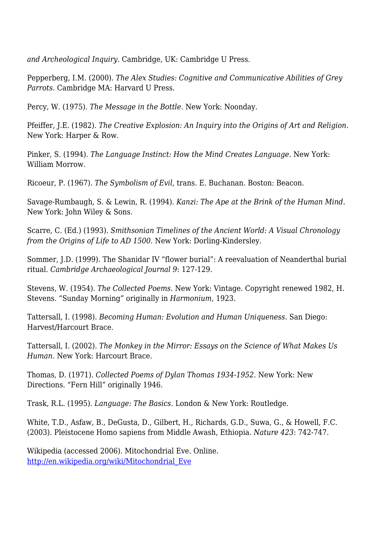*and Archeological Inquiry*. Cambridge, UK: Cambridge U Press.

Pepperberg, I.M. (2000). *The Alex Studies: Cognitive and Communicative Abilities of Grey Parrots.* Cambridge MA: Harvard U Press.

Percy, W. (1975). *The Message in the Bottle*. New York: Noonday.

Pfeiffer, J.E. (1982). *The Creative Explosion: An Inquiry into the Origins of Art and Religion*. New York: Harper & Row.

Pinker, S. (1994). *The Language Instinct: How the Mind Creates Language*. New York: William Morrow.

Ricoeur, P. (1967). *The Symbolism of Evil*, trans. E. Buchanan. Boston: Beacon.

Savage-Rumbaugh, S. & Lewin, R. (1994). *Kanzi: The Ape at the Brink of the Human Mind*. New York: John Wiley & Sons.

Scarre, C. (Ed.) (1993). *Smithsonian Timelines of the Ancient World: A Visual Chronology from the Origins of Life to AD 1500*. New York: Dorling-Kindersley.

Sommer, J.D. (1999). The Shanidar IV "flower burial": A reevaluation of Neanderthal burial ritual. *Cambridge Archaeological Journal 9*: 127-129.

Stevens, W. (1954). *The Collected Poems*. New York: Vintage. Copyright renewed 1982, H. Stevens. "Sunday Morning" originally in *Harmonium*, 1923.

Tattersall, I. (1998). *Becoming Human: Evolution and Human Uniqueness*. San Diego: Harvest/Harcourt Brace.

Tattersall, I. (2002). *The Monkey in the Mirror: Essays on the Science of What Makes Us Human*. New York: Harcourt Brace.

Thomas, D. (1971). *Collected Poems of Dylan Thomas 1934-1952*. New York: New Directions. "Fern Hill" originally 1946.

Trask, R.L. (1995). *Language: The Basics*. London & New York: Routledge.

White, T.D., Asfaw, B., DeGusta, D., Gilbert, H., Richards, G.D., Suwa, G., & Howell, F.C. (2003). Pleistocene Homo sapiens from Middle Awash, Ethiopia. *Nature 423*: 742-747.

Wikipedia (accessed 2006). Mitochondrial Eve. Online. [http://en.wikipedia.org/wiki/Mitochondrial\\_Eve](http://en.wikipedia.org/wiki/Mitochondrial_Eve)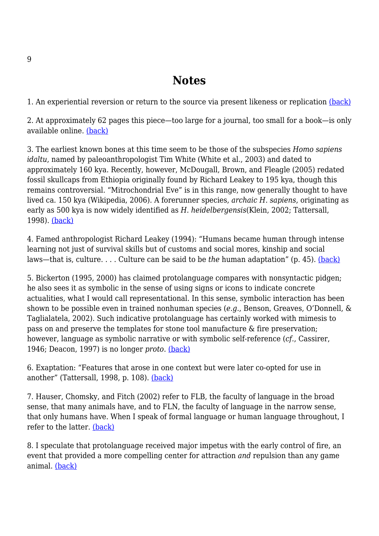## **Notes**

1. An experiential reversion or return to the source via present likeness or replication [\(back\)](http://anthropoetics.ucla.edu/ap1201/mortalknowledge#b1)

2. At approximately 62 pages this piece—too large for a journal, too small for a book—is only available online. [\(back\)](http://anthropoetics.ucla.edu/ap1201/mortalknowledge#b2)

3. The earliest known bones at this time seem to be those of the subspecies *Homo sapiens idaltu*, named by paleoanthropologist Tim White (White et al., 2003) and dated to approximately 160 kya. Recently, however, McDougall, Brown, and Fleagle (2005) redated fossil skullcaps from Ethiopia originally found by Richard Leakey to 195 kya, though this remains controversial. "Mitrochondrial Eve" is in this range, now generally thought to have lived ca. 150 kya (Wikipedia, 2006). A forerunner species, *archaic H. sapiens*, originating as early as 500 kya is now widely identified as *H. heidelbergensis*(Klein, 2002; Tattersall, 1998). [\(back\)](http://anthropoetics.ucla.edu/ap1201/mortalknowledge#b3)

4. Famed anthropologist Richard Leakey (1994): "Humans became human through intense learning not just of survival skills but of customs and social mores, kinship and social laws—that is, culture. . . . Culture can be said to be *the* human adaptation" (p. 45). [\(back\)](http://anthropoetics.ucla.edu/ap1201/mortalknowledge#b4)

5. Bickerton (1995, 2000) has claimed protolanguage compares with nonsyntactic pidgen; he also sees it as symbolic in the sense of using signs or icons to indicate concrete actualities, what I would call representational. In this sense, symbolic interaction has been shown to be possible even in trained nonhuman species (*e.g.*, Benson, Greaves, O'Donnell, & Taglialatela, 2002). Such indicative protolanguage has certainly worked with mimesis to pass on and preserve the templates for stone tool manufacture & fire preservation; however, language as symbolic narrative or with symbolic self-reference (*cf.*, Cassirer, 1946; Deacon, 1997) is no longer *proto*. [\(back\)](http://anthropoetics.ucla.edu/ap1201/mortalknowledge#b5)

6. Exaptation: "Features that arose in one context but were later co-opted for use in another" (Tattersall, 1998, p. 108). [\(back\)](http://anthropoetics.ucla.edu/ap1201/mortalknowledge#b6)

7. Hauser, Chomsky, and Fitch (2002) refer to FLB, the faculty of language in the broad sense, that many animals have, and to FLN, the faculty of language in the narrow sense, that only humans have. When I speak of formal language or human language throughout, I refer to the latter. [\(back\)](http://anthropoetics.ucla.edu/ap1201/mortalknowledge#b7)

8. I speculate that protolanguage received major impetus with the early control of fire, an event that provided a more compelling center for attraction *and* repulsion than any game animal. [\(back\)](http://anthropoetics.ucla.edu/ap1201/mortalknowledge#b8)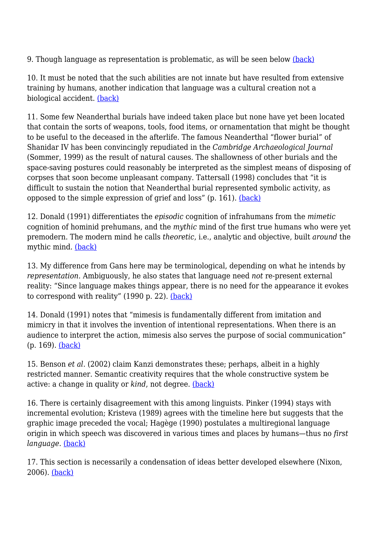9. Though language as representation is problematic, as will be seen below [\(back\)](http://anthropoetics.ucla.edu/ap1201/mortalknowledge#b9)

10. It must be noted that the such abilities are not innate but have resulted from extensive training by humans, another indication that language was a cultural creation not a biological accident. [\(back\)](http://anthropoetics.ucla.edu/ap1201/mortalknowledge#b10)

11. Some few Neanderthal burials have indeed taken place but none have yet been located that contain the sorts of weapons, tools, food items, or ornamentation that might be thought to be useful to the deceased in the afterlife. The famous Neanderthal "flower burial" of Shanidar IV has been convincingly repudiated in the *Cambridge Archaeological Journal* (Sommer, 1999) as the result of natural causes. The shallowness of other burials and the space-saving postures could reasonably be interpreted as the simplest means of disposing of corpses that soon become unpleasant company. Tattersall (1998) concludes that "it is difficult to sustain the notion that Neanderthal burial represented symbolic activity, as opposed to the simple expression of grief and loss" (p. 161). [\(back\)](http://anthropoetics.ucla.edu/ap1201/mortalknowledge#b11)

12. Donald (1991) differentiates the *episodic* cognition of infrahumans from the *mimetic* cognition of hominid prehumans, and the *mythic* mind of the first true humans who were yet premodern. The modern mind he calls *theoretic*, i.e., analytic and objective, built *around* the mythic mind. [\(back\)](http://anthropoetics.ucla.edu/ap1201/mortalknowledge#b12)

13. My difference from Gans here may be terminological, depending on what he intends by *representation*. Ambiguously, he also states that language need *not* re-present external reality: "Since language makes things appear, there is no need for the appearance it evokes to correspond with reality" (1990 p. 22). [\(back\)](http://anthropoetics.ucla.edu/ap1201/mortalknowledge#b13)

14. Donald (1991) notes that "mimesis is fundamentally different from imitation and mimicry in that it involves the invention of intentional representations. When there is an audience to interpret the action, mimesis also serves the purpose of social communication" (p. 169). [\(back\)](http://anthropoetics.ucla.edu/ap1201/mortalknowledge#b14)

15. Benson *et al*. (2002) claim Kanzi demonstrates these; perhaps, albeit in a highly restricted manner. Semantic creativity requires that the whole constructive system be active: a change in quality or *kind*, not degree. [\(back\)](http://anthropoetics.ucla.edu/ap1201/mortalknowledge#b15)

16. There is certainly disagreement with this among linguists. Pinker (1994) stays with incremental evolution; Kristeva (1989) agrees with the timeline here but suggests that the graphic image preceded the vocal; Hagège (1990) postulates a multiregional language origin in which speech was discovered in various times and places by humans—thus no *first language*. [\(back\)](http://anthropoetics.ucla.edu/ap1201/mortalknowledge#b16)

17. This section is necessarily a condensation of ideas better developed elsewhere (Nixon, 2006). [\(back\)](http://anthropoetics.ucla.edu/ap1201/mortalknowledge#b17)